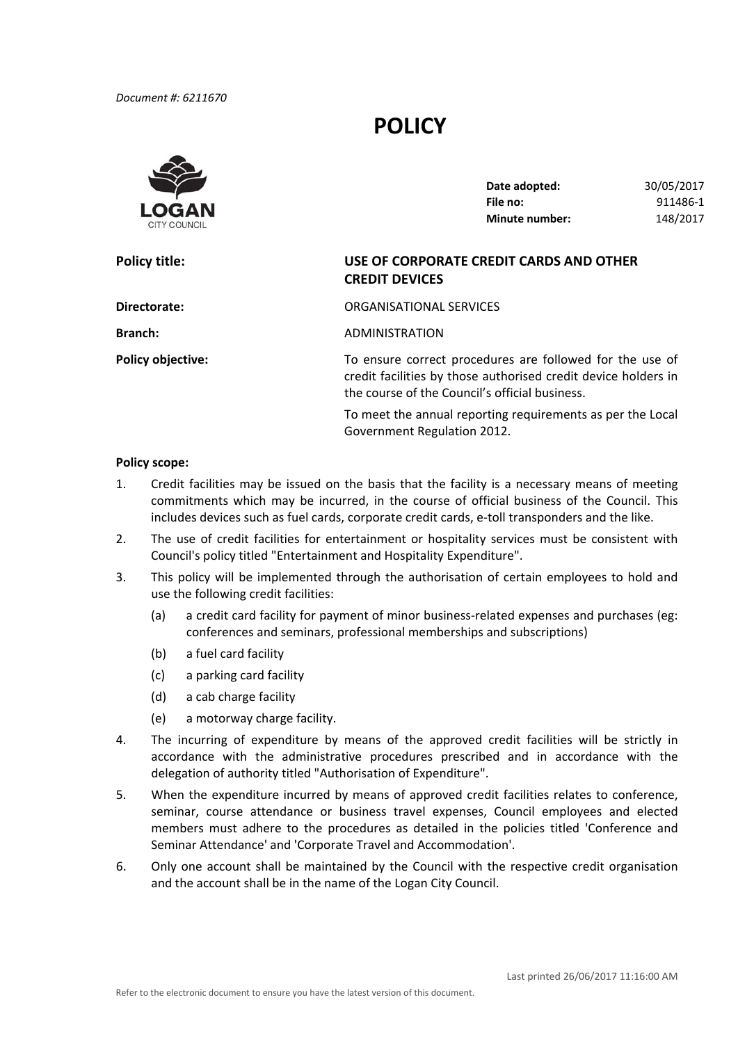# **POLICY**



| Date adopted:         | 30/05/2017 |
|-----------------------|------------|
| File no:              | 911486-1   |
| <b>Minute number:</b> | 148/2017   |

# **Policy title: USE OF CORPORATE CREDIT CARDS AND OTHER CREDIT DEVICES**

| Directorate:             | ORGANISATIONAL SERVICES                                                                                                                                                      |
|--------------------------|------------------------------------------------------------------------------------------------------------------------------------------------------------------------------|
| <b>Branch:</b>           | ADMINISTRATION                                                                                                                                                               |
| <b>Policy objective:</b> | To ensure correct procedures are followed for the use of<br>credit facilities by those authorised credit device holders in<br>the course of the Council's official business. |
|                          | To meet the annual reporting requirements as ner the Local                                                                                                                   |

 To meet the annual reporting requirements as per the Local Government Regulation 2012.

## **Policy scope:**

- 1. Credit facilities may be issued on the basis that the facility is a necessary means of meeting commitments which may be incurred, in the course of official business of the Council. This includes devices such as fuel cards, corporate credit cards, e‐toll transponders and the like.
- 2. The use of credit facilities for entertainment or hospitality services must be consistent with Council's policy titled "Entertainment and Hospitality Expenditure".
- 3. This policy will be implemented through the authorisation of certain employees to hold and use the following credit facilities:
	- (a) a credit card facility for payment of minor business‐related expenses and purchases (eg: conferences and seminars, professional memberships and subscriptions)
	- (b) a fuel card facility
	- (c) a parking card facility
	- (d) a cab charge facility
	- (e) a motorway charge facility.
- 4. The incurring of expenditure by means of the approved credit facilities will be strictly in accordance with the administrative procedures prescribed and in accordance with the delegation of authority titled "Authorisation of Expenditure".
- 5. When the expenditure incurred by means of approved credit facilities relates to conference, seminar, course attendance or business travel expenses, Council employees and elected members must adhere to the procedures as detailed in the policies titled 'Conference and Seminar Attendance' and 'Corporate Travel and Accommodation'.
- 6. Only one account shall be maintained by the Council with the respective credit organisation and the account shall be in the name of the Logan City Council.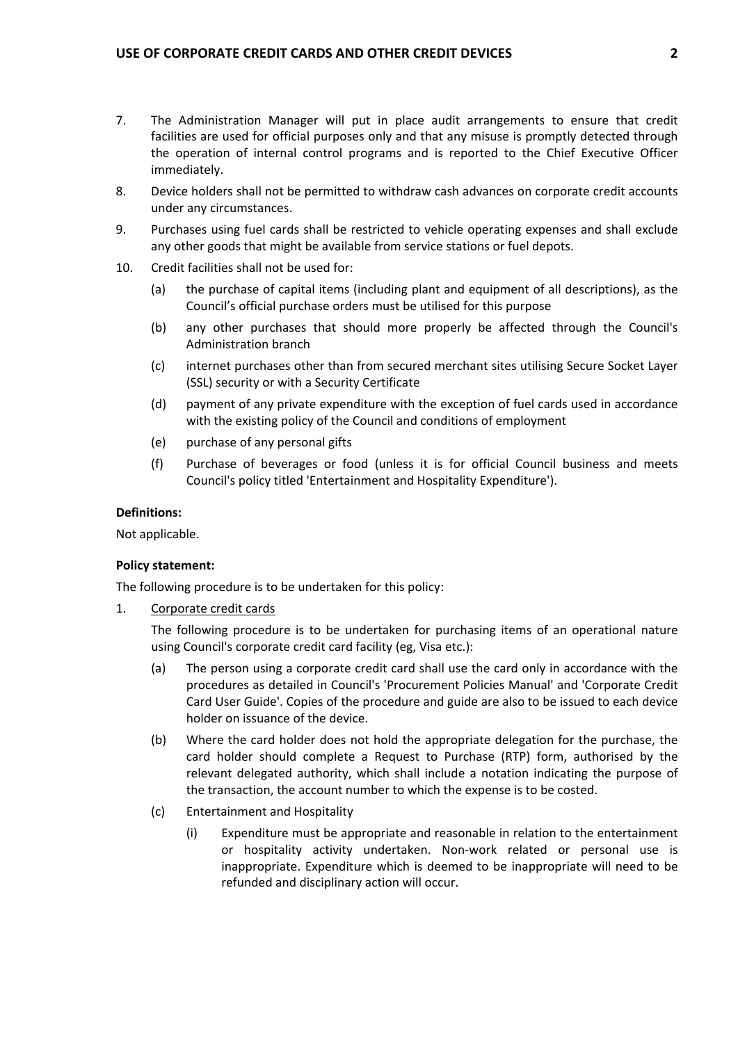- 7. The Administration Manager will put in place audit arrangements to ensure that credit facilities are used for official purposes only and that any misuse is promptly detected through the operation of internal control programs and is reported to the Chief Executive Officer immediately.
- 8. Device holders shall not be permitted to withdraw cash advances on corporate credit accounts under any circumstances.
- 9. Purchases using fuel cards shall be restricted to vehicle operating expenses and shall exclude any other goods that might be available from service stations or fuel depots.
- 10. Credit facilities shall not be used for:
	- (a) the purchase of capital items (including plant and equipment of all descriptions), as the Council's official purchase orders must be utilised for this purpose
	- (b) any other purchases that should more properly be affected through the Council's Administration branch
	- (c) internet purchases other than from secured merchant sites utilising Secure Socket Layer (SSL) security or with a Security Certificate
	- (d) payment of any private expenditure with the exception of fuel cards used in accordance with the existing policy of the Council and conditions of employment
	- (e) purchase of any personal gifts
	- (f) Purchase of beverages or food (unless it is for official Council business and meets Council's policy titled 'Entertainment and Hospitality Expenditure').

#### **Definitions:**

Not applicable.

## **Policy statement:**

The following procedure is to be undertaken for this policy:

1. Corporate credit cards

 The following procedure is to be undertaken for purchasing items of an operational nature using Council's corporate credit card facility (eg, Visa etc.):

- (a) The person using a corporate credit card shall use the card only in accordance with the procedures as detailed in Council's 'Procurement Policies Manual' and 'Corporate Credit Card User Guide'. Copies of the procedure and guide are also to be issued to each device holder on issuance of the device.
- (b) Where the card holder does not hold the appropriate delegation for the purchase, the card holder should complete a Request to Purchase (RTP) form, authorised by the relevant delegated authority, which shall include a notation indicating the purpose of the transaction, the account number to which the expense is to be costed.
- (c) Entertainment and Hospitality
	- (i) Expenditure must be appropriate and reasonable in relation to the entertainment or hospitality activity undertaken. Non‐work related or personal use is inappropriate. Expenditure which is deemed to be inappropriate will need to be refunded and disciplinary action will occur.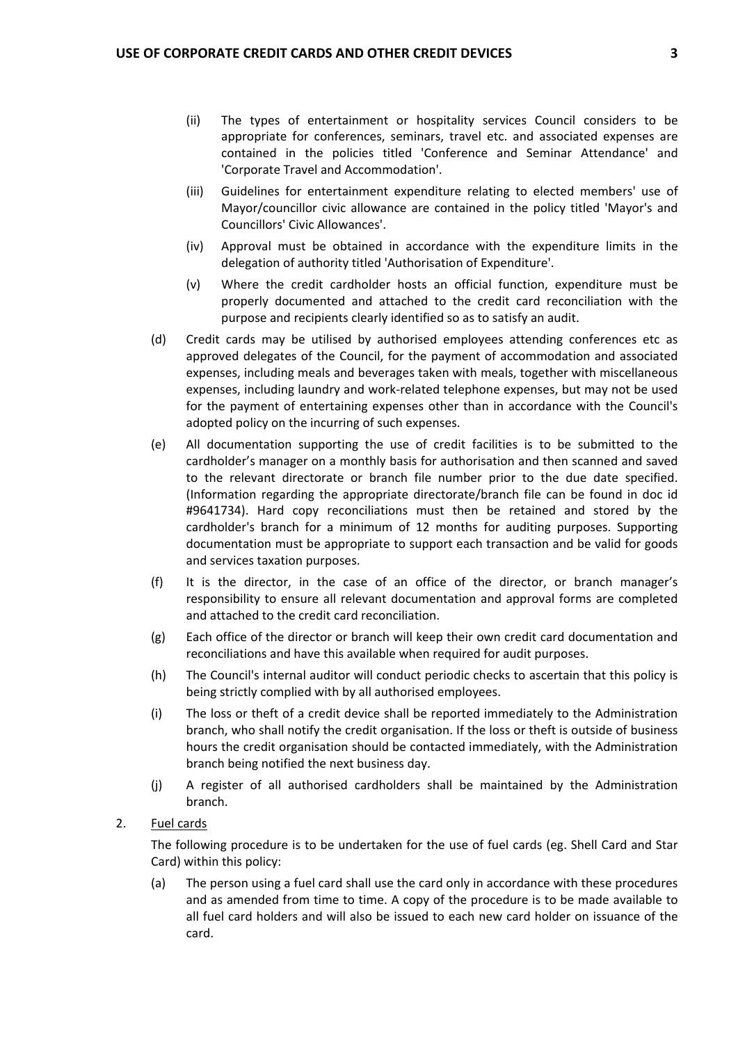- (ii) The types of entertainment or hospitality services Council considers to be appropriate for conferences, seminars, travel etc. and associated expenses are contained in the policies titled 'Conference and Seminar Attendance' and 'Corporate Travel and Accommodation'.
- (iii) Guidelines for entertainment expenditure relating to elected members' use of Mayor/councillor civic allowance are contained in the policy titled 'Mayor's and Councillors' Civic Allowances'.
- (iv) Approval must be obtained in accordance with the expenditure limits in the delegation of authority titled 'Authorisation of Expenditure'.
- (v) Where the credit cardholder hosts an official function, expenditure must be properly documented and attached to the credit card reconciliation with the purpose and recipients clearly identified so as to satisfy an audit.
- (d) Credit cards may be utilised by authorised employees attending conferences etc as approved delegates of the Council, for the payment of accommodation and associated expenses, including meals and beverages taken with meals, together with miscellaneous expenses, including laundry and work‐related telephone expenses, but may not be used for the payment of entertaining expenses other than in accordance with the Council's adopted policy on the incurring of such expenses.
- (e) All documentation supporting the use of credit facilities is to be submitted to the cardholder's manager on a monthly basis for authorisation and then scanned and saved to the relevant directorate or branch file number prior to the due date specified. (Information regarding the appropriate directorate/branch file can be found in doc id #9641734). Hard copy reconciliations must then be retained and stored by the cardholder's branch for a minimum of 12 months for auditing purposes. Supporting documentation must be appropriate to support each transaction and be valid for goods and services taxation purposes.
- (f) It is the director, in the case of an office of the director, or branch manager's responsibility to ensure all relevant documentation and approval forms are completed and attached to the credit card reconciliation.
- (g) Each office of the director or branch will keep their own credit card documentation and reconciliations and have this available when required for audit purposes.
- (h) The Council's internal auditor will conduct periodic checks to ascertain that this policy is being strictly complied with by all authorised employees.
- (i) The loss or theft of a credit device shall be reported immediately to the Administration branch, who shall notify the credit organisation. If the loss or theft is outside of business hours the credit organisation should be contacted immediately, with the Administration branch being notified the next business day.
- (j) A register of all authorised cardholders shall be maintained by the Administration branch.

## 2. Fuel cards

 The following procedure is to be undertaken for the use of fuel cards (eg. Shell Card and Star Card) within this policy:

 (a) The person using a fuel card shall use the card only in accordance with these procedures and as amended from time to time. A copy of the procedure is to be made available to all fuel card holders and will also be issued to each new card holder on issuance of the card.